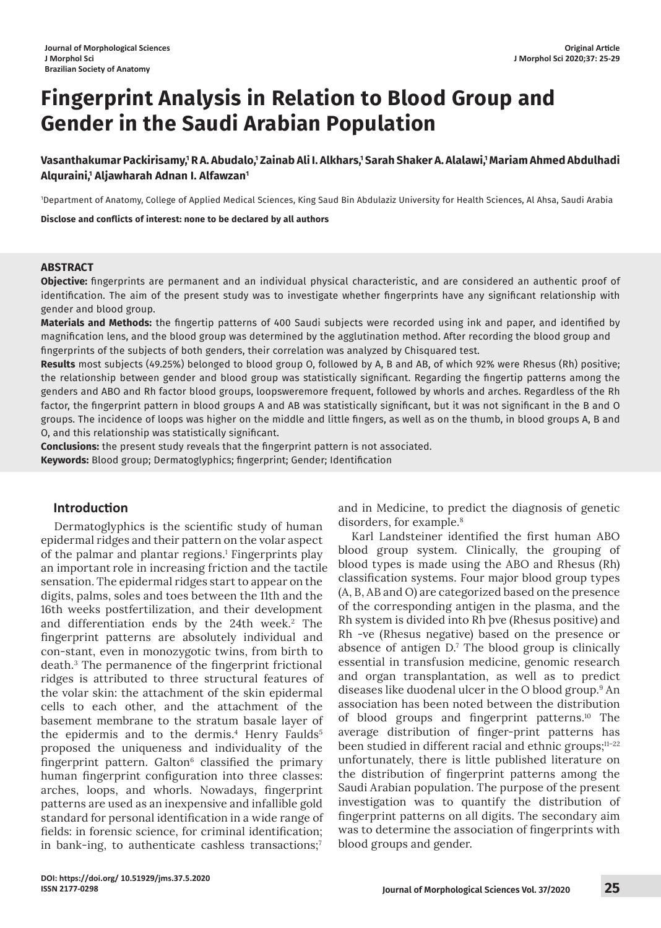# **Fingerprint Analysis in Relation to Blood Group and Gender in the Saudi Arabian Population**

Vasanthakumar Packirisamy,<sup>1</sup> R A. Abudalo,<sup>1</sup> Zainab Ali I. Alkhars,<sup>1</sup> Sarah Shaker A. Alalawi,<sup>1</sup> Mariam Ahmed Abdulhadi **Alquraini,1 Aljawharah Adnan I. Alfawzan1**

1 Department of Anatomy, College of Applied Medical Sciences, King Saud Bin Abdulaziz University for Health Sciences, Al Ahsa, Saudi Arabia

**Disclose and conflicts of interest: none to be declared by all authors**

# **ABSTRACT**

**Objective:** fingerprints are permanent and an individual physical characteristic, and are considered an authentic proof of identification. The aim of the present study was to investigate whether fingerprints have any significant relationship with gender and blood group.

**Materials and Methods:** the fingertip patterns of 400 Saudi subjects were recorded using ink and paper, and identified by magnification lens, and the blood group was determined by the agglutination method. After recording the blood group and fingerprints of the subjects of both genders, their correlation was analyzed by Chisquared test.

**Results** most subjects (49.25%) belonged to blood group O, followed by A, B and AB, of which 92% were Rhesus (Rh) positive; the relationship between gender and blood group was statistically significant. Regarding the fingertip patterns among the genders and ABO and Rh factor blood groups, loopsweremore frequent, followed by whorls and arches. Regardless of the Rh factor, the fingerprint pattern in blood groups A and AB was statistically significant, but it was not significant in the B and O groups. The incidence of loops was higher on the middle and little fingers, as well as on the thumb, in blood groups A, B and O, and this relationship was statistically significant.

**Conclusions:** the present study reveals that the fingerprint pattern is not associated. **Keywords:** Blood group; Dermatoglyphics; fingerprint; Gender; Identification

# **Introduction**

Dermatoglyphics is the scientific study of human epidermal ridges and their pattern on the volar aspect of the palmar and plantar regions.<sup>1</sup> Fingerprints play an important role in increasing friction and the tactile sensation. The epidermal ridges start to appear on the digits, palms, soles and toes between the 11th and the 16th weeks postfertilization, and their development and differentiation ends by the 24th week.<sup>2</sup> The fingerprint patterns are absolutely individual and con-stant, even in monozygotic twins, from birth to death.<sup>3</sup> The permanence of the fingerprint frictional ridges is attributed to three structural features of the volar skin: the attachment of the skin epidermal cells to each other, and the attachment of the basement membrane to the stratum basale layer of the epidermis and to the dermis.<sup>4</sup> Henry Faulds 5 proposed the uniqueness and individuality of the fingerprint pattern. Galton $6$  classified the primary human fingerprint configuration into three classes: arches, loops, and whorls. Nowadays, fingerprint patterns are used as an inexpensive and infallible gold standard for personal identification in a wide range of fields: in forensic science, for criminal identification; in bank-ing, to authenticate cashless transactions;<sup>7</sup>

and in Medicine, to predict the diagnosis of genetic disorders, for example.<sup>8</sup>

Karl Landsteiner identified the first human ABO blood group system. Clinically, the grouping of blood types is made using the ABO and Rhesus (Rh) classification systems. Four major blood group types (A, B, AB and O) are categorized based on the presence of the corresponding antigen in the plasma, and the Rh system is divided into Rh þve (Rhesus positive) and Rh -ve (Rhesus negative) based on the presence or absence of antigen D.<sup>7</sup> The blood group is clinically essential in transfusion medicine, genomic research and organ transplantation, as well as to predict diseases like duodenal ulcer in the O blood group.<sup>9</sup> An association has been noted between the distribution of blood groups and fingerprint patterns.<sup>10</sup> The average distribution of finger-print patterns has been studied in different racial and ethnic groups;<sup>11-22</sup> unfortunately, there is little published literature on the distribution of fingerprint patterns among the Saudi Arabian population. The purpose of the present investigation was to quantify the distribution of fingerprint patterns on all digits. The secondary aim was to determine the association of fingerprints with blood groups and gender.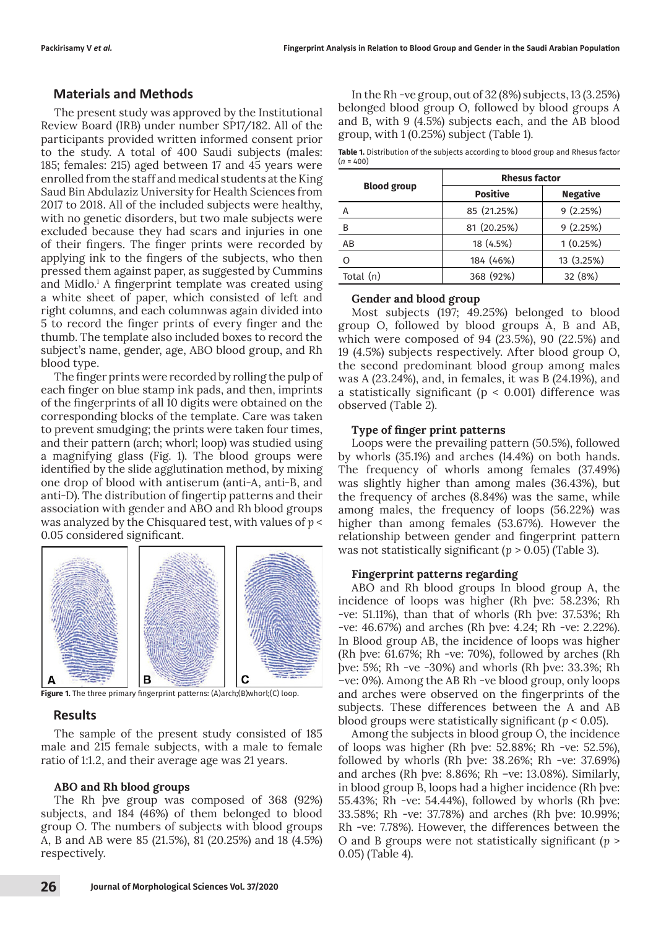# **Materials and Methods**

The present study was approved by the Institutional Review Board (IRB) under number SP17/182. All of the participants provided written informed consent prior to the study. A total of 400 Saudi subjects (males: 185; females: 215) aged between 17 and 45 years were enrolled from the staff and medical students at the King Saud Bin Abdulaziz University for Health Sciences from 2017 to 2018. All of the included subjects were healthy, with no genetic disorders, but two male subjects were excluded because they had scars and injuries in one of their fingers. The finger prints were recorded by applying ink to the fingers of the subjects, who then pressed them against paper, as suggested by Cummins and Midlo.<sup>1</sup> A fingerprint template was created using a white sheet of paper, which consisted of left and right columns, and each columnwas again divided into 5 to record the finger prints of every finger and the thumb. The template also included boxes to record the subject's name, gender, age, ABO blood group, and Rh blood type.

The finger prints were recorded by rolling the pulp of each finger on blue stamp ink pads, and then, imprints of the fingerprints of all 10 digits were obtained on the corresponding blocks of the template. Care was taken to prevent smudging; the prints were taken four times, and their pattern (arch; whorl; loop) was studied using a magnifying glass (Fig. 1). The blood groups were identified by the slide agglutination method, by mixing one drop of blood with antiserum (anti-A, anti-B, and anti-D). The distribution of fingertip patterns and their association with gender and ABO and Rh blood groups was analyzed by the Chisquared test, with values of *p* < 0.05 considered significant.



**Figure 1.** The three primary fingerprint patterns: (A)arch;(B)whorl;(C) loop.

# **Results**

The sample of the present study consisted of 185 male and 215 female subjects, with a male to female ratio of 1:1.2, and their average age was 21 years.

#### **ABO and Rh blood groups**

The Rh þve group was composed of 368 (92%) subjects, and 184 (46%) of them belonged to blood group O. The numbers of subjects with blood groups A, B and AB were 85 (21.5%), 81 (20.25%) and 18 (4.5%) respectively.

In the Rh -ve group, out of 32 (8%) subjects, 13 (3.25%) belonged blood group O, followed by blood groups A and B, with 9 (4.5%) subjects each, and the AB blood group, with 1 (0.25%) subject (Table 1).

**Table 1.** Distribution of the subjects according to blood group and Rhesus factor  $(n = 400)$ 

|                    | <b>Rhesus factor</b> |                 |  |  |  |  |
|--------------------|----------------------|-----------------|--|--|--|--|
| <b>Blood group</b> | <b>Positive</b>      | <b>Negative</b> |  |  |  |  |
| А                  | 85 (21.25%)          | 9(2.25%)        |  |  |  |  |
| B                  | 81 (20.25%)          | 9(2.25%)        |  |  |  |  |
| AB                 | 18 (4.5%)            | 1(0.25%)        |  |  |  |  |
|                    | 184 (46%)            | 13 (3.25%)      |  |  |  |  |
| Total (n)          | 368 (92%)            | 32 (8%)         |  |  |  |  |

## **Gender and blood group**

Most subjects (197; 49.25%) belonged to blood group O, followed by blood groups A, B and AB, which were composed of 94 (23.5%), 90 (22.5%) and 19 (4.5%) subjects respectively. After blood group O, the second predominant blood group among males was A (23.24%), and, in females, it was B (24.19%), and a statistically significant ( $p < 0.001$ ) difference was observed (Table 2).

#### **Type of finger print patterns**

Loops were the prevailing pattern (50.5%), followed by whorls (35.1%) and arches (14.4%) on both hands. The frequency of whorls among females (37.49%) was slightly higher than among males (36.43%), but the frequency of arches (8.84%) was the same, while among males, the frequency of loops (56.22%) was higher than among females (53.67%). However the relationship between gender and fingerprint pattern was not statistically significant (*p* > 0.05) (Table 3).

#### **Fingerprint patterns regarding**

ABO and Rh blood groups In blood group A, the incidence of loops was higher (Rh þve: 58.23%; Rh -ve: 51.11%), than that of whorls (Rh þve: 37.53%; Rh -ve: 46.67%) and arches (Rh þve: 4.24; Rh -ve: 2.22%). In Blood group AB, the incidence of loops was higher (Rh þve: 61.67%; Rh -ve: 70%), followed by arches (Rh þve: 5%; Rh -ve -30%) and whorls (Rh þve: 33.3%; Rh –ve: 0%). Among the AB Rh -ve blood group, only loops and arches were observed on the fingerprints of the subjects. These differences between the A and AB blood groups were statistically significant (*p* < 0.05).

Among the subjects in blood group O, the incidence of loops was higher (Rh þve: 52.88%; Rh -ve: 52.5%), followed by whorls (Rh þve: 38.26%; Rh -ve: 37.69%) and arches (Rh þve: 8.86%; Rh –ve: 13.08%). Similarly, in blood group B, loops had a higher incidence (Rh þve: 55.43%; Rh -ve: 54.44%), followed by whorls (Rh þve: 33.58%; Rh -ve: 37.78%) and arches (Rh þve: 10.99%; Rh -ve: 7.78%). However, the differences between the O and B groups were not statistically significant (*p* > 0.05) (Table 4).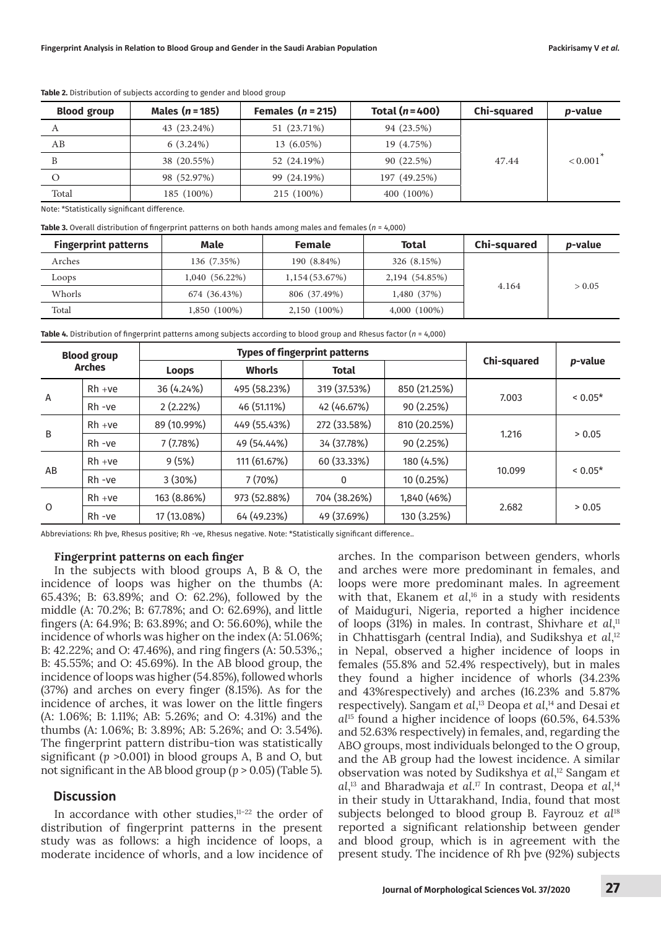| <b>Blood group</b> | Males $(n = 185)$ | Females $(n = 215)$ | Total $(n=400)$ | Chi-squared | <i>p</i> -value |
|--------------------|-------------------|---------------------|-----------------|-------------|-----------------|
|                    | 43 (23.24%)       | 51 (23.71%)         | 94 (23.5%)      |             |                 |
| AВ                 | $6(3.24\%)$       | 13 (6.05%)          | 19 (4.75%)      |             |                 |
| B                  | 38 (20.55%)       | 52 (24.19%)         | 90 (22.5%)      | 47.44       | < 0.001         |
|                    | 98 (52.97%)       | 99 (24.19%)         | 197 (49.25%)    |             |                 |
| Total              | 185 (100%)        | 215 (100%)          | 400 (100%)      |             |                 |

**Table 2.** Distribution of subjects according to gender and blood group

Note: \*Statistically significant difference.

**Table 3.** Overall distribution of fingerprint patterns on both hands among males and females (*n* = 4,000)

| <b>Fingerprint patterns</b> | Male           |               | Total          | Chi-squared | <i>p</i> -value |  |
|-----------------------------|----------------|---------------|----------------|-------------|-----------------|--|
| Arches                      | 136 (7.35%)    | 190 (8.84%)   | 326 (8.15%)    |             |                 |  |
| Loops                       | 1,040 (56.22%) | 1,154(53.67%) | 2,194 (54.85%) |             | > 0.05          |  |
| Whorls                      | 674 (36.43%)   | 806 (37.49%)  | 1,480 (37%)    | 4.164       |                 |  |
| Total                       | 1,850 (100%)   | 2,150 (100%)  | $4,000(100\%)$ |             |                 |  |

**Table 4.** Distribution of fingerprint patterns among subjects according to blood group and Rhesus factor (*n* = 4,000)

| <b>Blood group</b><br><b>Arches</b> |           |              | <b>Types of fingerprint patterns</b> |              |              |                    |         |
|-------------------------------------|-----------|--------------|--------------------------------------|--------------|--------------|--------------------|---------|
|                                     |           | <b>Loops</b> | <b>Whorls</b>                        | <b>Total</b> |              | <b>Chi-squared</b> | p-value |
|                                     | $Rh + ve$ | 36 (4.24%)   | 495 (58.23%)                         | 319 (37.53%) | 850 (21.25%) |                    | $0.05*$ |
| $\overline{A}$                      | Rh -ve    | 2(2.22%)     | 46 (51.11%)                          | 42 (46.67%)  | 90 (2.25%)   | 7.003              |         |
| B                                   | $Rh + ve$ | 89 (10.99%)  | 449 (55.43%)                         | 272 (33.58%) | 810 (20.25%) |                    | > 0.05  |
|                                     | Rh -ve    | 7 (7.78%)    | 49 (54.44%)                          | 34 (37.78%)  | 90 (2.25%)   | 1.216              |         |
| AB                                  | $Rh + ve$ | 9(5%)        | 111 (61.67%)                         | 60 (33.33%)  | 180 (4.5%)   |                    | $0.05*$ |
|                                     | Rh -ve    | 3(30%)       | 7(70%)                               | 0            | 10 (0.25%)   | 10.099             |         |
| $\mathbf 0$                         | $Rh + ve$ | 163 (8.86%)  | 973 (52.88%)                         | 704 (38.26%) | 1,840 (46%)  |                    |         |
|                                     | $Rh - ve$ | 17 (13.08%)  | 64 (49.23%)                          | 49 (37.69%)  | 130 (3.25%)  | 2.682              | > 0.05  |

Abbreviations: Rh þve, Rhesus positive; Rh -ve, Rhesus negative. Note: \*Statistically significant difference..

## **Fingerprint patterns on each finger**

In the subjects with blood groups A, B & O, the incidence of loops was higher on the thumbs (A: 65.43%; B: 63.89%; and O: 62.2%), followed by the middle (A: 70.2%; B: 67.78%; and O: 62.69%), and little fingers (A: 64.9%; B: 63.89%; and O: 56.60%), while the incidence of whorls was higher on the index (A: 51.06%; B: 42.22%; and O: 47.46%), and ring fingers (A: 50.53%,; B: 45.55%; and O: 45.69%). In the AB blood group, the incidence of loops was higher (54.85%), followed whorls (37%) and arches on every finger (8.15%). As for the incidence of arches, it was lower on the little fingers (A: 1.06%; B: 1.11%; AB: 5.26%; and O: 4.31%) and the thumbs (A: 1.06%; B: 3.89%; AB: 5.26%; and O: 3.54%). The fingerprint pattern distribu-tion was statistically significant (*p* >0.001) in blood groups A, B and O, but not significant in the AB blood group (*p* > 0.05) (Table 5).

# **Discussion**

In accordance with other studies, $11-22$  the order of distribution of fingerprint patterns in the present study was as follows: a high incidence of loops, a moderate incidence of whorls, and a low incidence of arches. In the comparison between genders, whorls and arches were more predominant in females, and loops were more predominant males. In agreement with that, Ekanem *et al*, <sup>16</sup> in a study with residents of Maiduguri, Nigeria, reported a higher incidence of loops (31%) in males. In contrast, Shivhare *et al*, 11 in Chhattisgarh (central India), and Sudikshya *et al*, 12 in Nepal, observed a higher incidence of loops in females (55.8% and 52.4% respectively), but in males they found a higher incidence of whorls (34.23% and 43%respectively) and arches (16.23% and 5.87% respectively). Sangam *et al*, 13 Deopa *et al*, 14 and Desai *et al*<sup>15</sup> found a higher incidence of loops (60.5%, 64.53% and 52.63% respectively) in females, and, regarding the ABO groups, most individuals belonged to the O group, and the AB group had the lowest incidence. A similar observation was noted by Sudikshya *et al*, <sup>12</sup> Sangam *et*  al,<sup>13</sup> and Bharadwaja *et al*.<sup>17</sup> In contrast, Deopa *et al*,<sup>14</sup> in their study in Uttarakhand, India, found that most subjects belonged to blood group B. Fayrouz *et al*<sup>18</sup> reported a significant relationship between gender and blood group, which is in agreement with the present study. The incidence of Rh þve (92%) subjects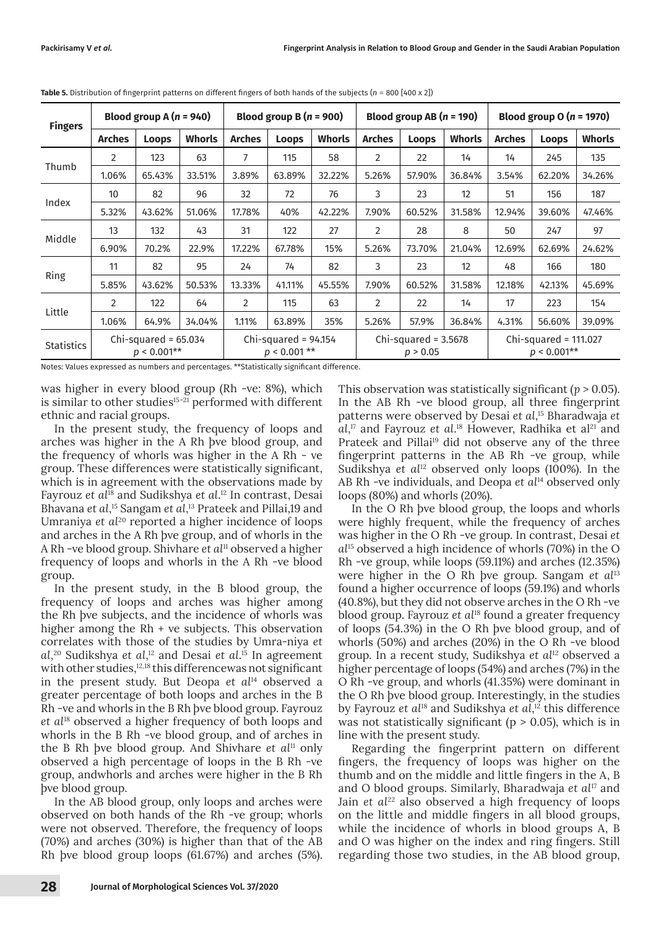| <b>Fingers</b>    | Blood group A $(n = 940)$ |                                          |               | Blood group B $(n = 900)$ |                                          | Blood group AB $(n = 190)$ |                |                                    | Blood group $O(n = 1970)$ |                                          |              |               |
|-------------------|---------------------------|------------------------------------------|---------------|---------------------------|------------------------------------------|----------------------------|----------------|------------------------------------|---------------------------|------------------------------------------|--------------|---------------|
|                   | <b>Arches</b>             | Loops                                    | <b>Whorls</b> | <b>Arches</b>             | <b>Loops</b>                             | <b>Whorls</b>              | <b>Arches</b>  | <b>Loops</b>                       | <b>Whorls</b>             | <b>Arches</b>                            | <b>Loops</b> | <b>Whorls</b> |
|                   | 2                         | 123                                      | 63            | 7                         | 115                                      | 58                         | $\overline{2}$ | 22                                 | 14                        | 14                                       | 245          | 135           |
| Thumb             | 1.06%                     | 65.43%                                   | 33.51%        | 3.89%                     | 63.89%                                   | 32.22%                     | 5.26%          | 57.90%                             | 36.84%                    | 3.54%                                    | 62.20%       | 34.26%        |
|                   | 10                        | 82                                       | 96            | 32                        | 72                                       | 76                         | 3              | 23                                 | 12                        | 51                                       | 156          | 187           |
| Index             | 5.32%                     | 43.62%                                   | 51.06%        | 17.78%                    | 40%                                      | 42.22%                     | 7.90%          | 60.52%                             | 31.58%                    | 12.94%                                   | 39.60%       | 47.46%        |
| Middle            | 13                        | 132                                      | 43            | 31                        | 122                                      | 27                         | 2              | 28                                 | 8                         | 50                                       | 247          | 97            |
|                   | 6.90%                     | 70.2%                                    | 22.9%         | 17.22%                    | 67.78%                                   | 15%                        | 5.26%          | 73.70%                             | 21.04%                    | 12.69%                                   | 62.69%       | 24.62%        |
| Ring              | 11                        | 82                                       | 95            | 24                        | 74                                       | 82                         | 3              | 23                                 | 12                        | 48                                       | 166          | 180           |
|                   | 5.85%                     | 43.62%                                   | 50.53%        | 13.33%                    | 41.11%                                   | 45.55%                     | 7.90%          | 60.52%                             | 31.58%                    | 12.18%                                   | 42.13%       | 45.69%        |
| Little            | $\overline{2}$            | 122                                      | 64            | 2                         | 115                                      | 63                         | 2              | 22                                 | 14                        | 17                                       | 223          | 154           |
|                   | 1.06%                     | 64.9%                                    | 34.04%        | 1.11%                     | 63.89%                                   | 35%                        | 5.26%          | 57.9%                              | 36.84%                    | 4.31%                                    | 56.60%       | 39.09%        |
| <b>Statistics</b> |                           | Chi-squared = $65.034$<br>$p < 0.001$ ** |               |                           | Chi-squared = $94.154$<br>$p < 0.001$ ** |                            |                | Chi-squared = $3.5678$<br>p > 0.05 |                           | Chi-squared = $111.027$<br>$p < 0.001**$ |              |               |

Notes: Values expressed as numbers and percentages. \*\*Statistically significant difference.

was higher in every blood group (Rh -ve: 8%), which is similar to other studies<sup>15-21</sup> performed with different ethnic and racial groups.

In the present study, the frequency of loops and arches was higher in the A Rh þve blood group, and the frequency of whorls was higher in the A Rh - ve group. These differences were statistically significant, which is in agreement with the observations made by Fayrouz *et al*<sup>18</sup> and Sudikshya *et al*. 12 In contrast, Desai Bhavana *et al*, 15 Sangam *et al*, <sup>13</sup> Prateek and Pillai,19 and Umraniya *et al<sup>20</sup>* reported a higher incidence of loops and arches in the A Rh þve group, and of whorls in the A Rh -ve blood group. Shivhare *et al*<sup>11</sup> observed a higher frequency of loops and whorls in the A Rh -ve blood group.

In the present study, in the B blood group, the frequency of loops and arches was higher among the Rh þve subjects, and the incidence of whorls was higher among the Rh + ve subjects. This observation correlates with those of the studies by Umra-niya *et al*, 20 Sudikshya *et al*, 12 and Desai *et al*. <sup>15</sup> In agreement with other studies,<sup>12,18</sup> this differencewas not significant in the present study. But Deopa *et al*14 observed a greater percentage of both loops and arches in the B Rh -ve and whorls in the B Rh þve blood group. Fayrouz *et al*<sup>18</sup> observed a higher frequency of both loops and whorls in the B Rh -ve blood group, and of arches in the B Rh þve blood group. And Shivhare *et al*11 only observed a high percentage of loops in the B Rh -ve group, andwhorls and arches were higher in the B Rh þve blood group.

In the AB blood group, only loops and arches were observed on both hands of the Rh -ve group; whorls were not observed. Therefore, the frequency of loops (70%) and arches (30%) is higher than that of the AB Rh þve blood group loops (61.67%) and arches (5%). This observation was statistically significant (*p* > 0.05). In the AB Rh -ve blood group, all three fingerprint patterns were observed by Desai *et al*, <sup>15</sup> Bharadwaja *et*  al,<sup>17</sup> and Fayrouz *et al*.<sup>18</sup> However, Radhika et al<sup>21</sup> and Prateek and Pillai<sup>19</sup> did not observe any of the three fingerprint patterns in the AB Rh -ve group, while Sudikshya *et al*<sup>12</sup> observed only loops (100%). In the AB Rh -ve individuals, and Deopa *et al*14 observed only loops (80%) and whorls (20%).

In the O Rh þve blood group, the loops and whorls were highly frequent, while the frequency of arches was higher in the O Rh -ve group. In contrast, Desai *et al*<sup>15</sup> observed a high incidence of whorls (70%) in the O Rh -ve group, while loops (59.11%) and arches (12.35%) were higher in the O Rh þve group. Sangam *et al*<sup>13</sup> found a higher occurrence of loops (59.1%) and whorls (40.8%), but they did not observe arches in the O Rh -ve blood group. Fayrouz *et al*<sup>18</sup> found a greater frequency of loops (54.3%) in the O Rh þve blood group, and of whorls (50%) and arches (20%) in the O Rh -ve blood group. In a recent study, Sudikshya *et al*12 observed a higher percentage of loops (54%) and arches (7%) in the O Rh -ve group, and whorls (41.35%) were dominant in the O Rh þve blood group. Interestingly, in the studies by Fayrouz *et al*<sup>18</sup> and Sudikshya *et al*, 12 this difference was not statistically significant ( $p > 0.05$ ), which is in line with the present study.

Regarding the fingerprint pattern on different fingers, the frequency of loops was higher on the thumb and on the middle and little fingers in the A, B and O blood groups. Similarly, Bharadwaja *et al*<sup>17</sup> and Jain *et al*<sup>22</sup> also observed a high frequency of loops on the little and middle fingers in all blood groups, while the incidence of whorls in blood groups A, B and O was higher on the index and ring fingers. Still regarding those two studies, in the AB blood group,